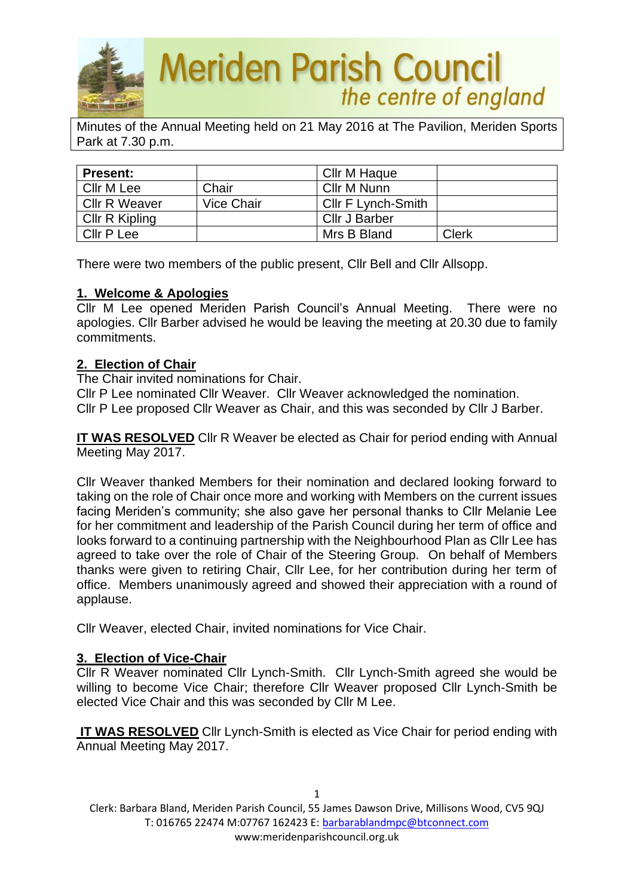

Minutes of the Annual Meeting held on 21 May 2016 at The Pavilion, Meriden Sports Park at 7.30 p.m.

| <b>Present:</b>      |            | Cllr M Haque       |              |
|----------------------|------------|--------------------|--------------|
| Cllr M Lee           | Chair      | Cllr M Nunn        |              |
| <b>Cllr R Weaver</b> | Vice Chair | Cllr F Lynch-Smith |              |
| Cllr R Kipling       |            | Cllr J Barber      |              |
| Cllr P Lee           |            | Mrs B Bland        | <b>Clerk</b> |

There were two members of the public present, Cllr Bell and Cllr Allsopp.

## **1. Welcome & Apologies**

Cllr M Lee opened Meriden Parish Council's Annual Meeting. There were no apologies. Cllr Barber advised he would be leaving the meeting at 20.30 due to family commitments.

## **2. Election of Chair**

The Chair invited nominations for Chair.

Cllr P Lee nominated Cllr Weaver. Cllr Weaver acknowledged the nomination.

Cllr P Lee proposed Cllr Weaver as Chair, and this was seconded by Cllr J Barber.

**IT WAS RESOLVED** Cllr R Weaver be elected as Chair for period ending with Annual Meeting May 2017.

Cllr Weaver thanked Members for their nomination and declared looking forward to taking on the role of Chair once more and working with Members on the current issues facing Meriden's community; she also gave her personal thanks to Cllr Melanie Lee for her commitment and leadership of the Parish Council during her term of office and looks forward to a continuing partnership with the Neighbourhood Plan as Cllr Lee has agreed to take over the role of Chair of the Steering Group. On behalf of Members thanks were given to retiring Chair, Cllr Lee, for her contribution during her term of office. Members unanimously agreed and showed their appreciation with a round of applause.

Cllr Weaver, elected Chair, invited nominations for Vice Chair.

# **3. Election of Vice-Chair**

Cllr R Weaver nominated Cllr Lynch-Smith. Cllr Lynch-Smith agreed she would be willing to become Vice Chair; therefore Cllr Weaver proposed Cllr Lynch-Smith be elected Vice Chair and this was seconded by Cllr M Lee.

**IT WAS RESOLVED** Cllr Lynch-Smith is elected as Vice Chair for period ending with Annual Meeting May 2017.

1 Clerk: Barbara Bland, Meriden Parish Council, 55 James Dawson Drive, Millisons Wood, CV5 9QJ T: 016765 22474 M:07767 162423 E[: barbarablandmpc@btconnect.com](mailto:barbarablandmpc@btconnect.com) www:meridenparishcouncil.org.uk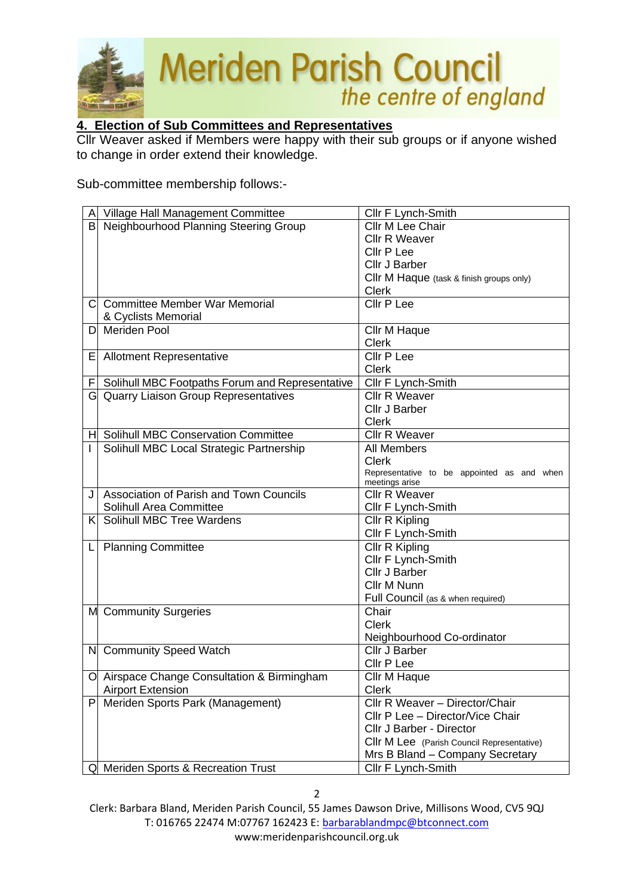

# **4. Election of Sub Committees and Representatives**

Cllr Weaver asked if Members were happy with their sub groups or if anyone wished to change in order extend their knowledge.

Sub-committee membership follows:-

| Α  | Village Hall Management Committee               | Cllr F Lynch-Smith                         |
|----|-------------------------------------------------|--------------------------------------------|
| B  | Neighbourhood Planning Steering Group           | Cllr M Lee Chair                           |
|    |                                                 | <b>Cllr R Weaver</b>                       |
|    |                                                 | Cllr P Lee                                 |
|    |                                                 | Cllr J Barber                              |
|    |                                                 | CIIr M Haque (task & finish groups only)   |
|    |                                                 | <b>Clerk</b>                               |
| С  | <b>Committee Member War Memorial</b>            | Cllr P Lee                                 |
|    | & Cyclists Memorial                             |                                            |
| D  | Meriden Pool                                    | Cllr M Haque                               |
|    |                                                 | <b>Clerk</b>                               |
| E. | <b>Allotment Representative</b>                 | Cllr P Lee                                 |
|    |                                                 | <b>Clerk</b>                               |
| F  | Solihull MBC Footpaths Forum and Representative | Cllr F Lynch-Smith                         |
|    | G Quarry Liaison Group Representatives          | <b>Cllr R Weaver</b>                       |
|    |                                                 | Cllr J Barber                              |
|    |                                                 | <b>Clerk</b>                               |
| H  | <b>Solihull MBC Conservation Committee</b>      | <b>Cllr R Weaver</b>                       |
|    | Solihull MBC Local Strategic Partnership        | <b>All Members</b>                         |
|    |                                                 | <b>Clerk</b>                               |
|    |                                                 | Representative to be appointed as and when |
| J  | Association of Parish and Town Councils         | meetings arise<br>Cllr R Weaver            |
|    | Solihull Area Committee                         | Cllr F Lynch-Smith                         |
| Kl | Solihull MBC Tree Wardens                       | Cllr R Kipling                             |
|    |                                                 | Cllr F Lynch-Smith                         |
|    | <b>Planning Committee</b>                       | Cllr R Kipling                             |
|    |                                                 | Cllr F Lynch-Smith                         |
|    |                                                 | Cllr J Barber                              |
|    |                                                 | Cllr M Nunn                                |
|    |                                                 | Full Council (as & when required)          |
|    | M Community Surgeries                           | Chair                                      |
|    |                                                 | Clerk                                      |
|    |                                                 | Neighbourhood Co-ordinator                 |
|    | N Community Speed Watch                         | Cllr J Barber                              |
|    |                                                 | Cllr P Lee                                 |
|    | O Airspace Change Consultation & Birmingham     | Cllr M Haque                               |
|    | <b>Airport Extension</b>                        | Clerk                                      |
| P  | Meriden Sports Park (Management)                | Cllr R Weaver - Director/Chair             |
|    |                                                 | Cllr P Lee - Director/Vice Chair           |
|    |                                                 | Cllr J Barber - Director                   |
|    |                                                 | Cllr M Lee (Parish Council Representative) |
|    |                                                 | Mrs B Bland - Company Secretary            |
|    | Q Meriden Sports & Recreation Trust             | Cllr F Lynch-Smith                         |

Clerk: Barbara Bland, Meriden Parish Council, 55 James Dawson Drive, Millisons Wood, CV5 9QJ T: 016765 22474 M:07767 162423 E[: barbarablandmpc@btconnect.com](mailto:barbarablandmpc@btconnect.com) www:meridenparishcouncil.org.uk